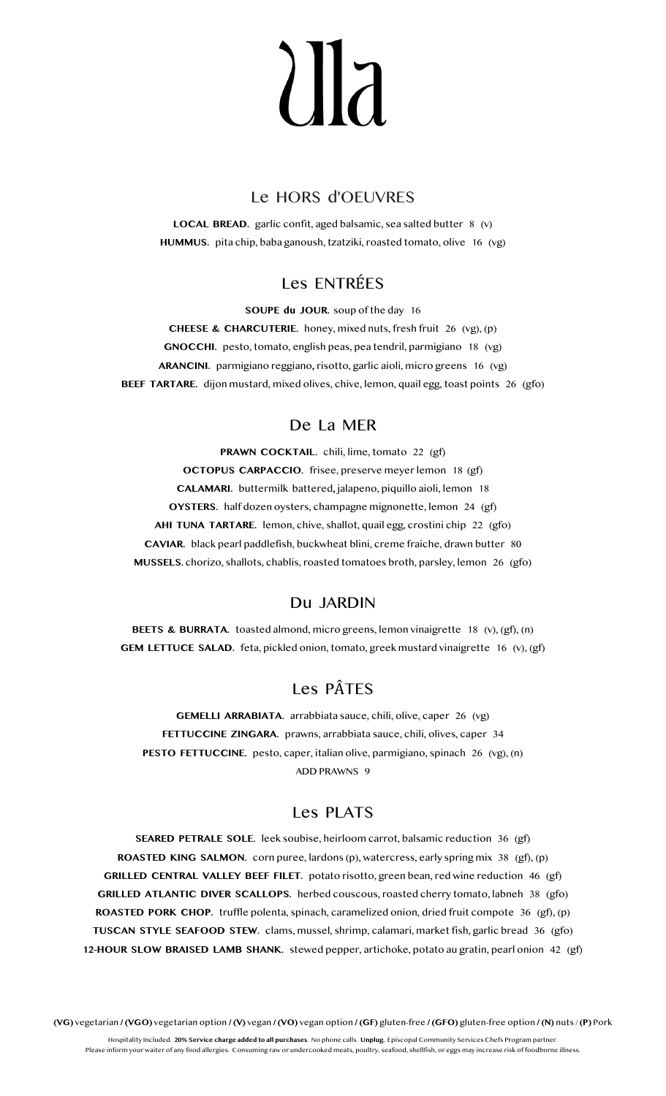# 117

### Le HORS d'OEUVRES

**LOCAL BREAD.** garlic confit, aged balsamic, sea salted butter 8 (v) **HUMMUS.** pita chip, baba ganoush, tzatziki, roasted tomato, olive 16 (vg)

# Les ENTRÉES

**SOUPE du JOUR.** soup of the day 16

**CHEESE & CHARCUTERIE.** honey, mixed nuts, fresh fruit 26 (vg), (p) **GNOCCHI.** pesto, tomato, english peas, pea tendril, parmigiano 18 (vg) **ARANCINI.** parmigiano reggiano**,** risotto, garlic aioli, micro greens 16 (vg) **BEEF TARTARE.** dijon mustard, mixed olives, chive, lemon, quail egg, toast points 26 (gfo)

## De La MER

**PRAWN COCKTAIL.** chili, lime, tomato 22 (gf) **OCTOPUS CARPACCIO.** frisee, preserve meyer lemon 18 (gf) **CALAMARI.** buttermilk battered**,** jalapeno, piquillo aioli, lemon 18 **OYSTERS.** half dozen oysters, champagne mignonette, lemon 24 (gf) **AHI TUNA TARTARE.** lemon, chive, shallot, quail egg, crostini chip 22 (gfo) **CAVIAR.** black pearl paddlefish, buckwheat blini, creme fraiche, drawn butter 80 **MUSSELS.** chorizo, shallots, chablis, roasted tomatoes broth, parsley, lemon 26 (gfo)

#### Du JARDIN

**BEETS & BURRATA.** toasted almond, micro greens, lemon vinaigrette 18 (v), (gf), (n) **GEM LETTUCE SALAD.** feta, pickled onion, tomato, greek mustard vinaigrette 16 (v), (gf)

# Les PÂTES

**GEMELLI ARRABIATA.** arrabbiata sauce, chili, olive, caper 26 (vg) **FETTUCCINE ZINGARA.** prawns, arrabbiata sauce, chili, olives, caper 34 **PESTO FETTUCCINE.** pesto, caper, italian olive, parmigiano, spinach 26 (vg), (n) ADD PRAWNS 9

#### Les PLATS

**SEARED PETRALE SOLE.** leek soubise, heirloom carrot, balsamic reduction 36 (gf) **ROASTED KING SALMON.** corn puree, lardons (p), watercress, early spring mix 38 (gf), (p) **GRILLED CENTRAL VALLEY BEEF FILET.** potato risotto, green bean, red wine reduction 46 (gf) **GRILLED ATLANTIC DIVER SCALLOPS.** herbed couscous, roasted cherry tomato, labneh 38 (gfo) **ROASTED PORK CHOP.** truffle polenta, spinach, caramelized onion, dried fruit compote 36 (gf), (p) **TUSCAN STYLE SEAFOOD STEW.** clams, mussel, shrimp, calamari, market fish, garlic bread 36 (gfo) **12-HOUR SLOW BRAISED LAMB SHANK.** stewed pepper, artichoke, potato au gratin, pearl onion 42 (gf)

**(VG)** vegetarian **/ (VGO)** vegetarian option **/ (V)** vegan **/ (VO)** vegan option **/ (GF)** gluten-free **/ (GFO)** gluten-free option **/ (N)** nuts / **(P)** Pork

Hospitality Included. **20% Service charge added to all purchases**. No phone calls. **Unplug.** Episcopal Community Services Chefs Program partner. Please inform your waiter of any food allergies. Consuming raw or undercooked meats, poultry, seafood, shellfish, or eggs may increase risk of foodborne illness.